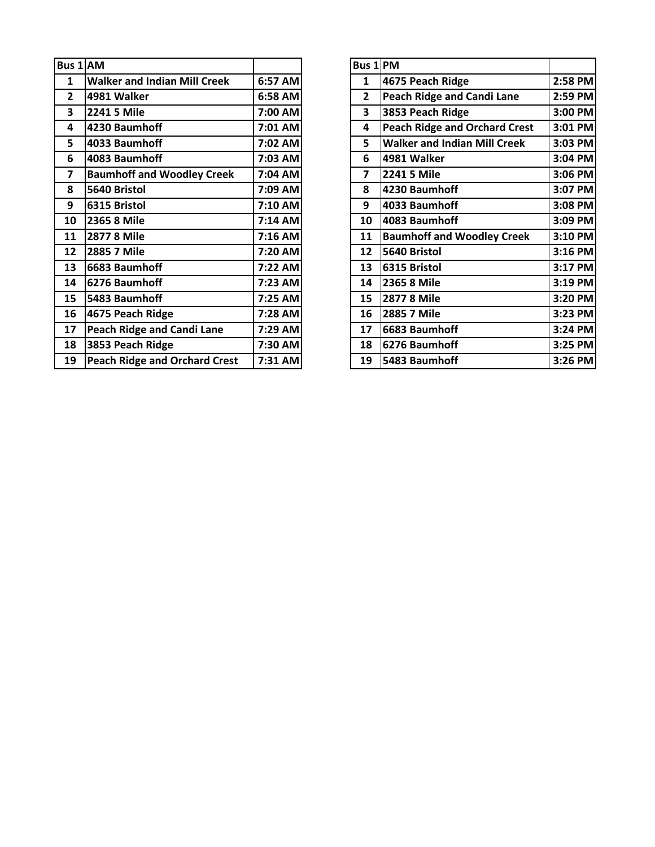| Bus 1 AM       |                                      |         | Bus 1          | PM  |
|----------------|--------------------------------------|---------|----------------|-----|
| 1              | <b>Walker and Indian Mill Creek</b>  | 6:57 AM | 1              | 467 |
| $\mathbf{2}$   | 4981 Walker                          | 6:58 AM | $\overline{2}$ | Pea |
| 3              | 2241 5 Mile                          | 7:00 AM | 3              | 385 |
| 4              | 4230 Baumhoff                        | 7:01 AM | 4              | Pea |
| 5              | 4033 Baumhoff                        | 7:02 AM | 5              | Wa  |
| 6              | 4083 Baumhoff                        | 7:03 AM | 6              | 498 |
| $\overline{7}$ | <b>Baumhoff and Woodley Creek</b>    | 7:04 AM | 7              | 224 |
| 8              | 5640 Bristol                         | 7:09 AM | 8              | 423 |
| 9              | 6315 Bristol                         | 7:10 AM | 9              | 403 |
| 10             | 2365 8 Mile                          | 7:14 AM | 10             | 408 |
| 11             | 2877 8 Mile                          | 7:16 AM | 11             | Bau |
| 12             | 2885 7 Mile                          | 7:20 AM | 12             | 564 |
| 13             | 6683 Baumhoff                        | 7:22 AM | 13             | 631 |
| 14             | 6276 Baumhoff                        | 7:23 AM | 14             | 236 |
| 15             | 5483 Baumhoff                        | 7:25 AM | 15             | 287 |
| 16             | 4675 Peach Ridge                     | 7:28 AM | 16             | 288 |
| 17             | <b>Peach Ridge and Candi Lane</b>    | 7:29 AM | 17             | 668 |
| 18             | 3853 Peach Ridge                     | 7:30 AM | 18             | 627 |
| 19             | <b>Peach Ridge and Orchard Crest</b> | 7:31 AM | 19             | 548 |
|                |                                      |         |                |     |

| us 1 AM                 |                                      |         | Bus 1 PM     |                                      |         |
|-------------------------|--------------------------------------|---------|--------------|--------------------------------------|---------|
| $\mathbf{1}$            | <b>Walker and Indian Mill Creek</b>  | 6:57 AM | 1            | 4675 Peach Ridge                     | 2:58 PM |
| $\overline{2}$          | 4981 Walker                          | 6:58 AM | $\mathbf{2}$ | <b>Peach Ridge and Candi Lane</b>    | 2:59 PM |
| 3                       | 2241 5 Mile                          | 7:00 AM | 3            | 3853 Peach Ridge                     | 3:00 PM |
| $\overline{\mathbf{4}}$ | 4230 Baumhoff                        | 7:01 AM | 4            | <b>Peach Ridge and Orchard Crest</b> | 3:01 PM |
| 5                       | 4033 Baumhoff                        | 7:02 AM | 5            | <b>Walker and Indian Mill Creek</b>  | 3:03 PM |
| 6                       | 4083 Baumhoff                        | 7:03 AM | 6            | 4981 Walker                          | 3:04 PM |
| $\overline{\mathbf{z}}$ | <b>Baumhoff and Woodley Creek</b>    | 7:04 AM | 7            | 2241 5 Mile                          | 3:06 PM |
| 8                       | 5640 Bristol                         | 7:09 AM | 8            | 4230 Baumhoff                        | 3:07 PM |
| 9                       | 6315 Bristol                         | 7:10 AM | 9            | 4033 Baumhoff                        | 3:08 PM |
| 10                      | 2365 8 Mile                          | 7:14 AM | 10           | 4083 Baumhoff                        | 3:09 PM |
| 11                      | 2877 8 Mile                          | 7:16 AM | 11           | <b>Baumhoff and Woodley Creek</b>    | 3:10 PM |
| 12                      | 2885 7 Mile                          | 7:20 AM | 12           | 5640 Bristol                         | 3:16 PM |
| 13                      | 6683 Baumhoff                        | 7:22 AM | 13           | 6315 Bristol                         | 3:17 PM |
| 14                      | 6276 Baumhoff                        | 7:23 AM | 14           | 2365 8 Mile                          | 3:19 PM |
| 15                      | 5483 Baumhoff                        | 7:25 AM | 15           | 2877 8 Mile                          | 3:20 PM |
| 16                      | 4675 Peach Ridge                     | 7:28 AM | 16           | 2885 7 Mile                          | 3:23 PM |
| 17                      | <b>Peach Ridge and Candi Lane</b>    | 7:29 AM | 17           | 6683 Baumhoff                        | 3:24 PM |
| 18                      | 3853 Peach Ridge                     | 7:30 AM | 18           | 6276 Baumhoff                        | 3:25 PM |
| 19                      | <b>Peach Ridge and Orchard Crest</b> | 7:31 AM | 19           | 5483 Baumhoff                        | 3:26 PM |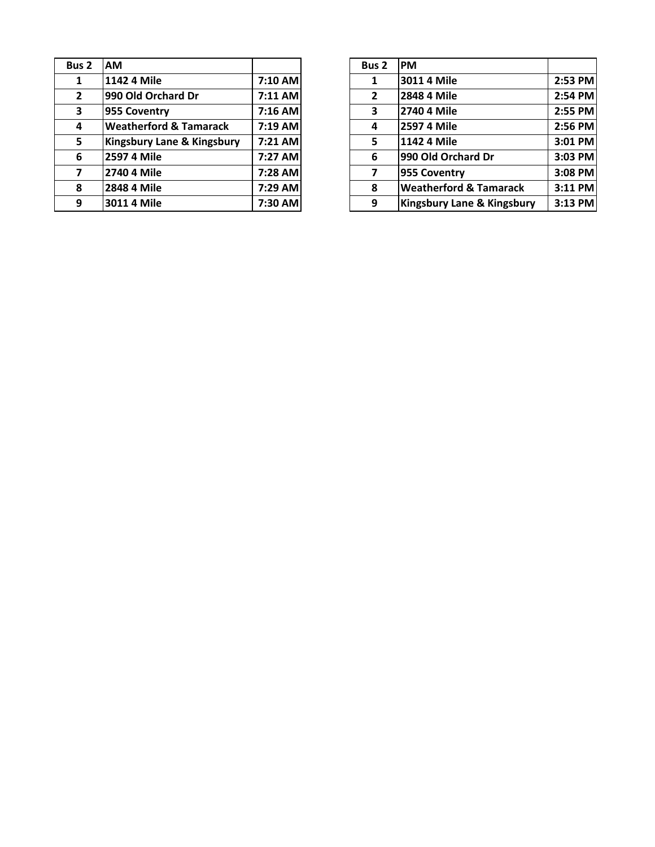| Bus <sub>2</sub> | <b>AM</b>                         |         | Bus <sub>2</sub>                                          | <b>PM</b>  |
|------------------|-----------------------------------|---------|-----------------------------------------------------------|------------|
| 1                | 1142 4 Mile                       |         | 1                                                         | 301        |
| $\overline{2}$   | 990 Old Orchard Dr                |         | $\overline{2}$                                            | 284        |
| 3                | 955 Coventry                      |         | 3                                                         | 274        |
| 4                | <b>Weatherford &amp; Tamarack</b> | 7:19 AM | 4                                                         | <b>259</b> |
| 5                | Kingsbury Lane & Kingsbury        |         | 5                                                         | 114        |
| 6                | 2597 4 Mile                       | 7:27 AM | 6                                                         | 990        |
| 7                | 2740 4 Mile                       | 7:28 AM | 7                                                         | 955        |
| 8                | 2848 4 Mile                       | 7:29 AM | 8                                                         | We         |
| 9                | 3011 4 Mile                       |         | 9                                                         | Kin        |
|                  |                                   |         | $7:10$ AM<br>$7:11$ AM<br>$7:16$ AM<br>7:21 AM<br>7:30 AM |            |

| s <sub>2</sub> | <b>AM</b>                         |           | Bus <sub>2</sub> | <b>IPM</b>                        |         |
|----------------|-----------------------------------|-----------|------------------|-----------------------------------|---------|
| $\mathbf{1}$   | 1142 4 Mile                       | 7:10 AM   | 1                | 3011 4 Mile                       | 2:53 PM |
| $\overline{2}$ | 990 Old Orchard Dr                | $7:11$ AM | $\overline{2}$   | 2848 4 Mile                       | 2:54 PM |
| 3              | 955 Coventry                      | $7:16$ AM | 3                | 2740 4 Mile                       | 2:55 PM |
| 4              | <b>Weatherford &amp; Tamarack</b> | $7:19$ AM | 4                | 2597 4 Mile                       | 2:56 PM |
| 5              | Kingsbury Lane & Kingsbury        | $7:21$ AM | 5                | 1142 4 Mile                       | 3:01 PM |
| 6              | 2597 4 Mile                       | 7:27 AM   | 6                | 990 Old Orchard Dr                | 3:03 PM |
| $\overline{ }$ | 2740 4 Mile                       | 7:28 AM   |                  | 955 Coventry                      | 3:08 PM |
| 8              | 2848 4 Mile                       | 7:29 AM   | 8                | <b>Weatherford &amp; Tamarack</b> | 3:11 PM |
| 9              | 3011 4 Mile                       | 7:30 AM   | 9                | Kingsbury Lane & Kingsbury        | 3:13 PM |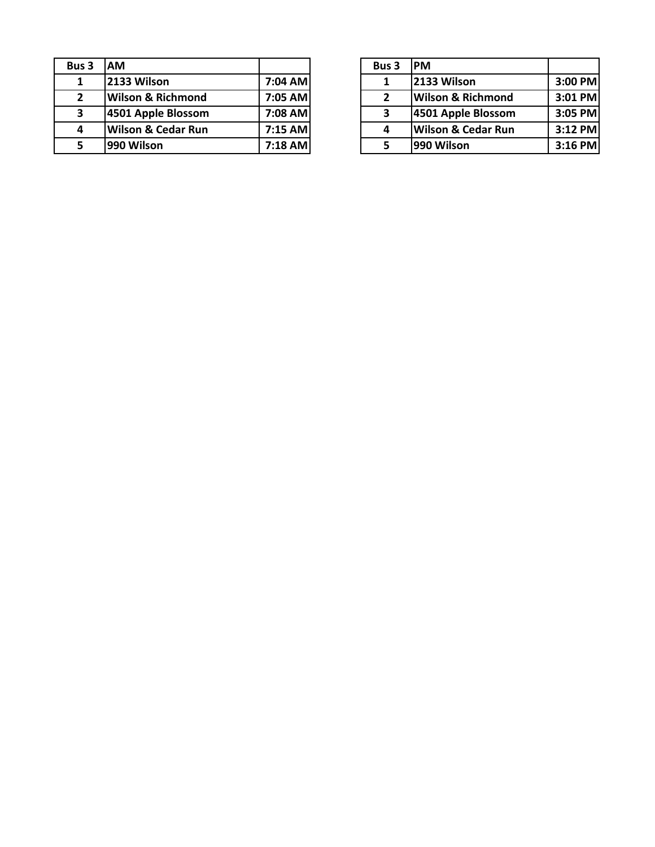| Bus 3         | АM                            |           | Bus 3 | <b>PM</b> |
|---------------|-------------------------------|-----------|-------|-----------|
| 1             | 2133 Wilson                   | 7:04 AM   | 1     | 213       |
| $\mathfrak z$ | <b>Wilson &amp; Richmond</b>  | 7:05 AM   | 2     | Wil       |
| 3             | 4501 Apple Blossom            | 7:08 AM   | 3     | 450       |
| 4             | <b>Wilson &amp; Cedar Run</b> | $7:15$ AM | 4     | Wil       |
|               | 990 Wilson                    | 7:18 AM   |       | 990       |

| ıs 3                    | <b>IAM</b>                    |           | Bus 3 | <b>IPM</b>                    |           |
|-------------------------|-------------------------------|-----------|-------|-------------------------------|-----------|
| 1                       | 2133 Wilson                   | 7:04 AM   |       | 2133 Wilson                   | 3:00 PM   |
| $\overline{\mathbf{c}}$ | <b>Wilson &amp; Richmond</b>  | 7:05 AM   |       | <b>Wilson &amp; Richmond</b>  | 3:01 PM   |
| 3                       | 4501 Apple Blossom            | 7:08 AM   | 3     | 4501 Apple Blossom            | $3:05$ PM |
| 4                       | <b>Wilson &amp; Cedar Run</b> | $7:15$ AM | 4     | <b>Wilson &amp; Cedar Run</b> | $3:12$ PM |
| 5                       | 990 Wilson                    | $7:18$ AM |       | 990 Wilson                    | $3:16$ PM |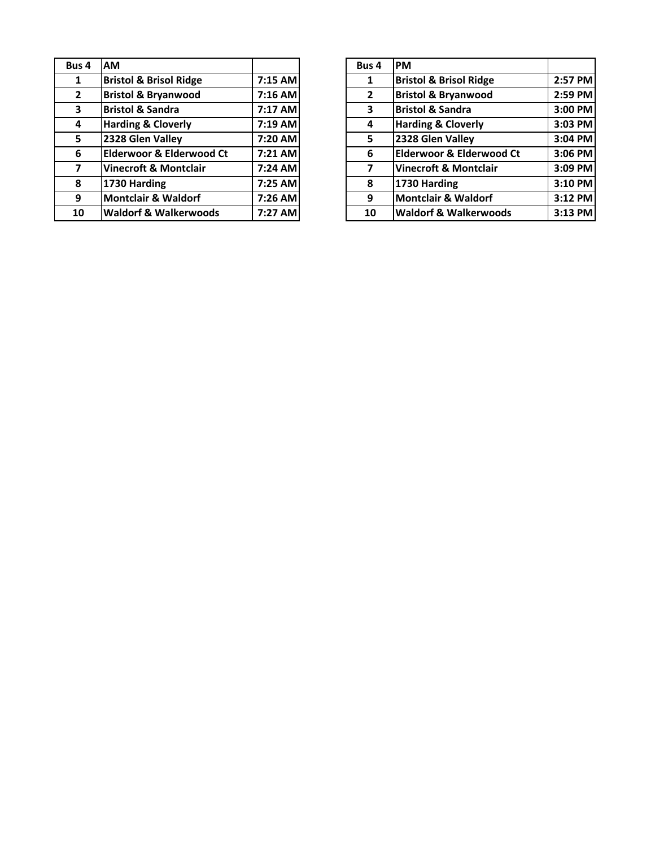| Bus 4          | АM                                  |         | Bus 4          | PM          |
|----------------|-------------------------------------|---------|----------------|-------------|
| 1              | <b>Bristol &amp; Brisol Ridge</b>   | 7:15 AM | 1              | <b>Bris</b> |
| $\overline{2}$ | <b>Bristol &amp; Bryanwood</b>      | 7:16 AM | $\overline{2}$ | <b>Bris</b> |
| 3              | <b>Bristol &amp; Sandra</b>         | 7:17 AM | 3              | <b>Bris</b> |
| 4              | <b>Harding &amp; Cloverly</b>       | 7:19 AM | 4              | Har         |
| 5              | 2328 Glen Valley                    | 7:20 AM | 5              | 232         |
| 6              | <b>Elderwoor &amp; Elderwood Ct</b> | 7:21 AM | 6              | Eld         |
| 7              | <b>Vinecroft &amp; Montclair</b>    | 7:24 AM | 7              | Vin         |
| 8              | 1730 Harding                        | 7:25 AM | 8              | 173         |
| 9              | <b>Montclair &amp; Waldorf</b>      | 7:26 AM | 9              | Mo          |
| 10             | <b>Waldorf &amp; Walkerwoods</b>    | 7:27 AM | 10             | Wa          |

| us 4                    | <b>AM</b>                         |           | Bus 4          | <b>PM</b>                           |         |
|-------------------------|-----------------------------------|-----------|----------------|-------------------------------------|---------|
| $\mathbf{1}$            | <b>Bristol &amp; Brisol Ridge</b> | $7:15$ AM | 1              | <b>Bristol &amp; Brisol Ridge</b>   | 2:57 PM |
| $2^{\circ}$             | <b>Bristol &amp; Bryanwood</b>    | $7:16$ AM | $\overline{2}$ | <b>Bristol &amp; Bryanwood</b>      | 2:59 PM |
| $\overline{\mathbf{3}}$ | <b>Bristol &amp; Sandra</b>       | 7:17 AM   | 3              | <b>Bristol &amp; Sandra</b>         | 3:00 PM |
| $\overline{4}$          | <b>Harding &amp; Cloverly</b>     | 7:19 AM   | 4              | <b>Harding &amp; Cloverly</b>       | 3:03 PM |
| 5 <sup>1</sup>          | 2328 Glen Valley                  | 7:20 AM   | 5              | 2328 Glen Valley                    | 3:04 PM |
| 6                       | Elderwoor & Elderwood Ct          | $7:21$ AM | 6              | <b>Elderwoor &amp; Elderwood Ct</b> | 3:06 PM |
| $\overline{7}$          | <b>Vinecroft &amp; Montclair</b>  | 7:24 AM   |                | <b>Vinecroft &amp; Montclair</b>    | 3:09 PM |
| 8                       | 1730 Harding                      | 7:25 AM   | 8              | 1730 Harding                        | 3:10 PM |
| 9                       | Montclair & Waldorf               | 7:26 AM   | 9              | <b>Montclair &amp; Waldorf</b>      | 3:12 PM |
| 10                      | <b>Waldorf &amp; Walkerwoods</b>  | 7:27 AM   | 10             | <b>Waldorf &amp; Walkerwoods</b>    | 3:13 PM |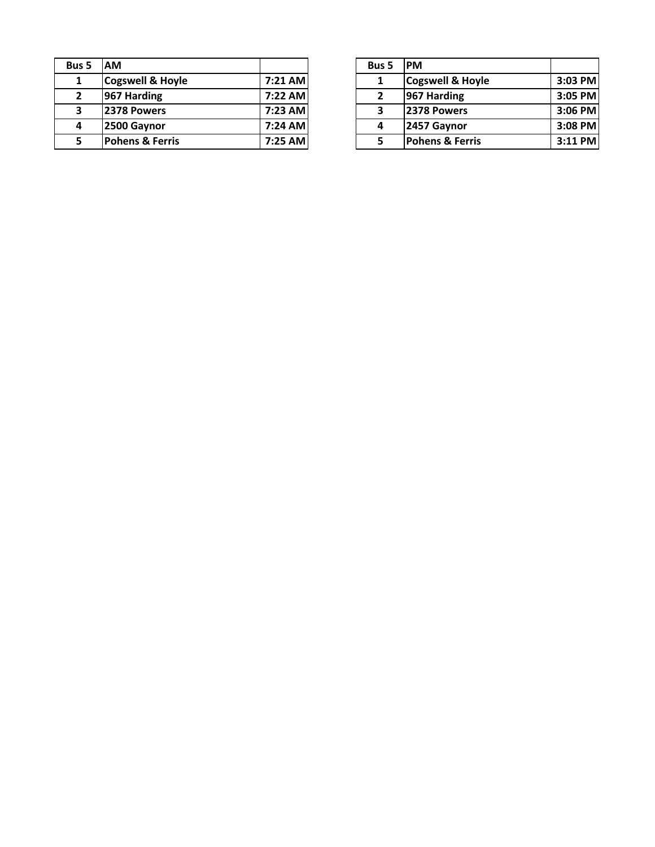| <b>Bus 5</b> | AM                          |         | <b>Bus 5</b> | <b>PM</b> |
|--------------|-----------------------------|---------|--------------|-----------|
| 1            | <b>Cogswell &amp; Hoyle</b> | 7:21 AM |              | Cog       |
| 2            | 967 Harding                 | 7:22 AM | $\mathbf{2}$ | 967       |
| 3            | 2378 Powers                 | 7:23 AM | 3            | 237       |
| 4            | 2500 Gaynor                 | 7:24 AM | 4            | 245       |
|              | <b>Pohens &amp; Ferris</b>  | 7:25 AM |              | Pol       |

| ıs 5         | IAM                         |           | <b>Bus 5</b> | <b>IPM</b>                  |           |
|--------------|-----------------------------|-----------|--------------|-----------------------------|-----------|
| 1            | <b>Cogswell &amp; Hoyle</b> | 7:21 AM   |              | <b>Cogswell &amp; Hoyle</b> | 3:03 PM   |
| $\mathbf{2}$ | 967 Harding                 | 7:22 AM   |              | 967 Harding                 | 3:05 PM   |
| 3            | 2378 Powers                 | 7:23 AM   | ,            | 2378 Powers                 | 3:06 PM   |
| 4            | 2500 Gaynor                 | $7:24$ AM |              | 2457 Gaynor                 | 3:08 PM   |
| 5            | <b>Pohens &amp; Ferris</b>  | 7:25 AM   |              | <b>Pohens &amp; Ferris</b>  | $3:11$ PM |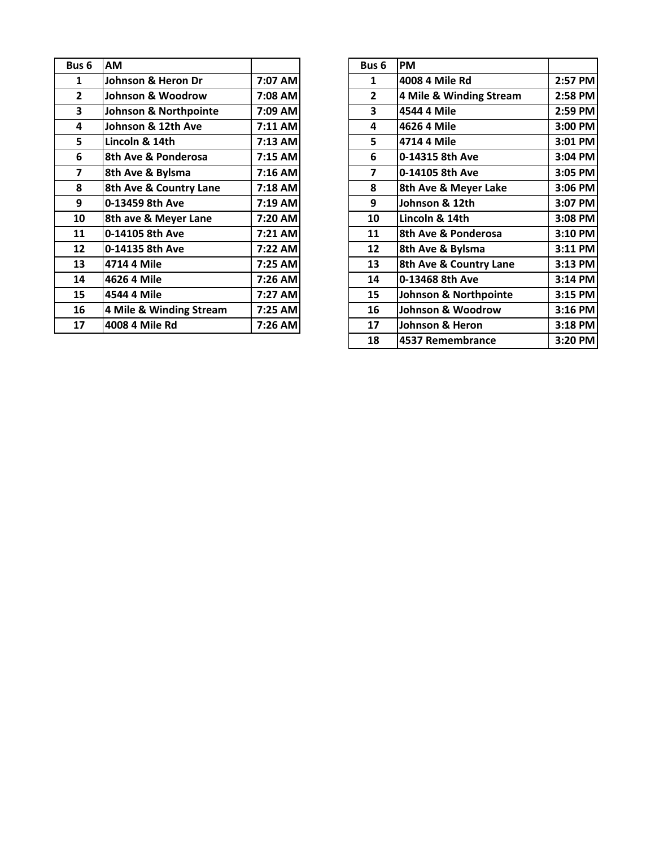| Bus <sub>6</sub> | AM                               |         | Bus <sub>6</sub> | <b>PM</b> |
|------------------|----------------------------------|---------|------------------|-----------|
| 1                | Johnson & Heron Dr               | 7:07 AM | 1                | 400       |
| $\overline{2}$   | Johnson & Woodrow                | 7:08 AM | $\overline{2}$   | 4 N       |
| 3                | <b>Johnson &amp; Northpointe</b> | 7:09 AM | 3                | 454       |
| 4                | Johnson & 12th Ave               | 7:11 AM | 4                | 462       |
| 5                | Lincoln & 14th                   | 7:13 AM | 5                | 471       |
| 6                | 8th Ave & Ponderosa              | 7:15 AM | 6                | $0 - 1$   |
| 7                | 8th Ave & Bylsma                 | 7:16 AM | 7                | $0 - 1$   |
| 8                | 8th Ave & Country Lane           | 7:18 AM | 8                | 8th       |
| 9                | 0-13459 8th Ave                  | 7:19 AM | 9                | Joh       |
| 10               | 8th ave & Meyer Lane             | 7:20 AM | 10               | Lin       |
| 11               | 0-14105 8th Ave                  | 7:21 AM | 11               | 8th       |
| 12               | 0-14135 8th Ave                  | 7:22 AM | 12               | 8th       |
| 13               | 4714 4 Mile                      | 7:25 AM | 13               | 8th       |
| 14               | 4626 4 Mile                      | 7:26 AM | 14               | $0 - 1$   |
| 15               | 4544 4 Mile                      | 7:27 AM | 15               | Joh       |
| 16               | 4 Mile & Winding Stream          | 7:25 AM | 16               | Joh       |
| 17               | 4008 4 Mile Rd                   | 7:26 AM | 17               | Joh       |
|                  |                                  |         |                  |           |

| us 6                    | AM                      |         | Bus <sub>6</sub>        | <b>PM</b>               |         |
|-------------------------|-------------------------|---------|-------------------------|-------------------------|---------|
| $\mathbf{1}$            | Johnson & Heron Dr      | 7:07 AM | 1                       | 4008 4 Mile Rd          | 2:57 PM |
| $\overline{2}$          | Johnson & Woodrow       | 7:08 AM | $\mathbf{2}$            | 4 Mile & Winding Stream | 2:58 PM |
| $\overline{\mathbf{3}}$ | Johnson & Northpointe   | 7:09 AM | 3                       | 4544 4 Mile             | 2:59 PM |
| $\overline{\mathbf{4}}$ | Johnson & 12th Ave      | 7:11 AM | 4                       | 4626 4 Mile             | 3:00 PM |
| 5                       | Lincoln & 14th          | 7:13 AM | 5                       | 4714 4 Mile             | 3:01 PM |
| 6                       | 8th Ave & Ponderosa     | 7:15 AM | 6                       | 0-14315 8th Ave         | 3:04 PM |
| $\overline{\mathbf{z}}$ | 8th Ave & Bylsma        | 7:16 AM | $\overline{\mathbf{z}}$ | 0-14105 8th Ave         | 3:05 PM |
| 8                       | 8th Ave & Country Lane  | 7:18 AM | 8                       | 8th Ave & Meyer Lake    | 3:06 PM |
| 9                       | 0-13459 8th Ave         | 7:19 AM | 9                       | Johnson & 12th          | 3:07 PM |
| 10                      | 8th ave & Meyer Lane    | 7:20 AM | 10                      | Lincoln & 14th          | 3:08 PM |
| 11                      | 0-14105 8th Ave         | 7:21 AM | 11                      | 8th Ave & Ponderosa     | 3:10 PM |
| 12                      | 0-14135 8th Ave         | 7:22 AM | 12                      | 8th Ave & Bylsma        | 3:11 PM |
| 13                      | 4714 4 Mile             | 7:25 AM | 13                      | 8th Ave & Country Lane  | 3:13 PM |
| 14                      | 4626 4 Mile             | 7:26 AM | 14                      | 0-13468 8th Ave         | 3:14 PM |
| 15                      | 4544 4 Mile             | 7:27 AM | 15                      | Johnson & Northpointe   | 3:15 PM |
| 16                      | 4 Mile & Winding Stream | 7:25 AM | 16                      | Johnson & Woodrow       | 3:16 PM |
| 17                      | 4008 4 Mile Rd          | 7:26 AM | 17                      | Johnson & Heron         | 3:18 PM |
|                         |                         |         | 18                      | 4537 Remembrance        | 3:20 PM |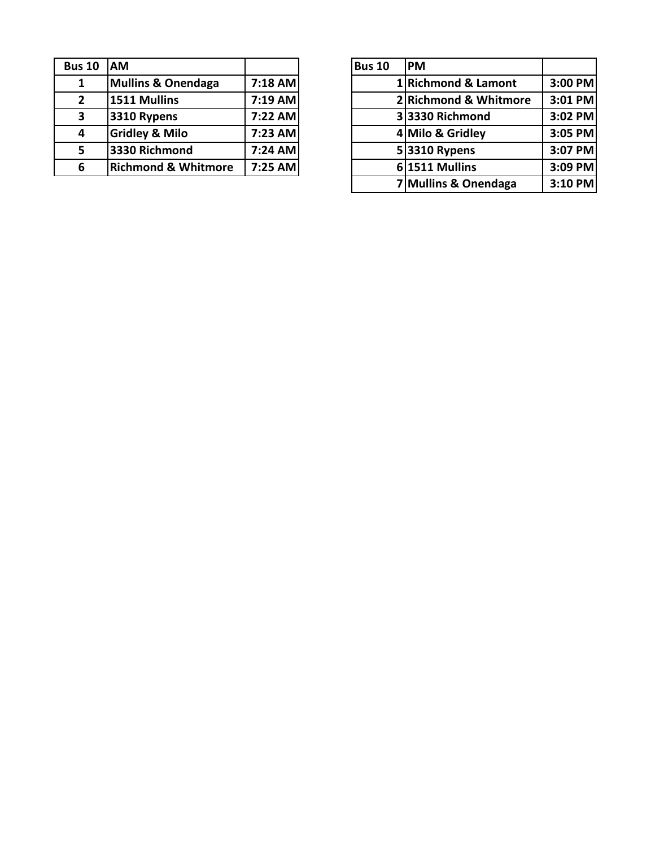| <b>Bus 10</b> | <b>IAM</b>                     |           | <b>Bus 10</b> | <b>PM</b> |
|---------------|--------------------------------|-----------|---------------|-----------|
| 1             | <b>Mullins &amp; Onendaga</b>  | $7:18$ AM |               | 1 Ric     |
| $2^{\circ}$   | 1511 Mullins                   | $7:19$ AM |               | 2Ricl     |
| 3             | 3310 Rypens                    | 7:22 AM   |               | 3 333     |
| 4             | <b>Gridley &amp; Milo</b>      | 7:23 AM   |               | $4$ Mil   |
| 5.            | 3330 Richmond                  | 7:24 AM   |               | 5 331     |
| 6             | <b>Richmond &amp; Whitmore</b> | 7:25 AM   |               | 6 151     |

| s 10                    | AM                             |           | <b>Bus 10</b> | <b>IPM</b>            |         |
|-------------------------|--------------------------------|-----------|---------------|-----------------------|---------|
| $\mathbf{1}$            | <b>Mullins &amp; Onendaga</b>  | $7:18$ AM |               | 1 Richmond & Lamont   | 3:00 PM |
| $\overline{\mathbf{2}}$ | 1511 Mullins                   | 7:19 AM   |               | 2 Richmond & Whitmore | 3:01 PM |
| 3                       | 3310 Rypens                    | 7:22 AM   |               | 33330 Richmond        | 3:02 PM |
| 4                       | <b>Gridley &amp; Milo</b>      | 7:23 AM   |               | 4 Milo & Gridley      | 3:05 PM |
| 5                       | 3330 Richmond                  | $7:24$ AM |               | 53310 Rypens          | 3:07 PM |
| 6                       | <b>Richmond &amp; Whitmore</b> | 7:25 AM   |               | $6 1511$ Mullins      | 3:09 PM |
|                         |                                |           |               | 7 Mullins & Onendaga  | 3:10 PM |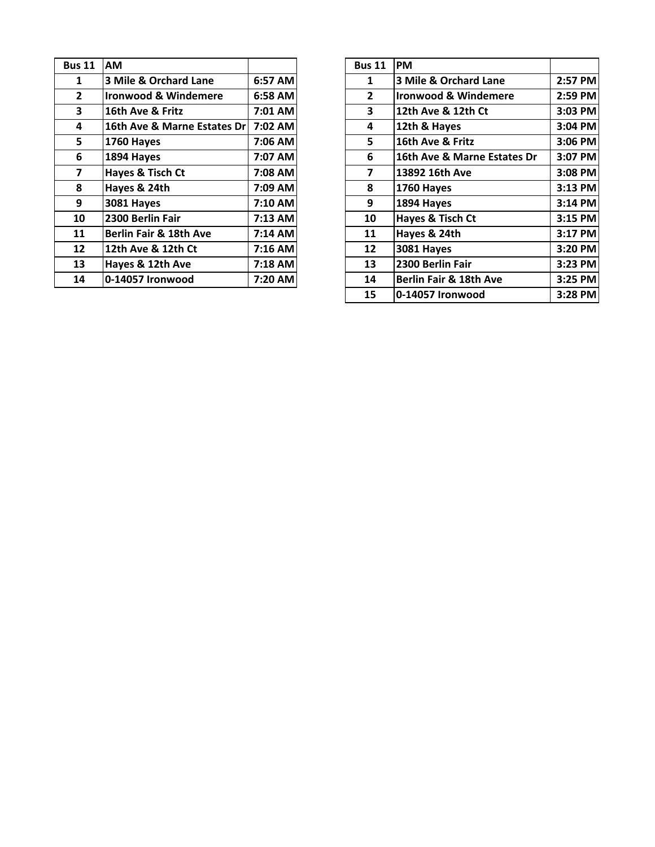| <b>Bus 11</b>   | <b>AM</b>                       |         | <b>Bus 11</b>  | <b>PM</b>  |
|-----------------|---------------------------------|---------|----------------|------------|
| 1               | 3 Mile & Orchard Lane           | 6:57 AM | 1              | 3N         |
| $\overline{2}$  | <b>Ironwood &amp; Windemere</b> | 6:58 AM | $\overline{2}$ | Irol       |
| 3               | 16th Ave & Fritz                | 7:01 AM | 3              | 12t        |
| 4               | 16th Ave & Marne Estates Dr     | 7:02 AM | 4              | 12t        |
| 5               | <b>1760 Hayes</b>               | 7:06 AM | 5              | <b>16t</b> |
| 6               | 1894 Hayes                      | 7:07 AM | 6              | <b>16t</b> |
| 7               | Hayes & Tisch Ct                | 7:08 AM | 7              | 138        |
| 8               | Hayes & 24th                    | 7:09 AM | 8              | 176        |
| 9               | <b>3081 Hayes</b>               | 7:10 AM | 9              | 189        |
| 10              | 2300 Berlin Fair                | 7:13 AM | 10             | Hay        |
| 11              | Berlin Fair & 18th Ave          | 7:14 AM | 11             | Hay        |
| 12 <sup>2</sup> | 12th Ave & 12th Ct              | 7:16 AM | 12             | 308        |
| 13              | Hayes & 12th Ave                | 7:18 AM | 13             | 230        |
| 14              | 0-14057 Ironwood                | 7:20 AM | 14             | Ber        |
|                 |                                 |         |                |            |

| ıs 11                   | <b>AM</b>                       |           | <b>Bus 11</b>  | PM                              |         |
|-------------------------|---------------------------------|-----------|----------------|---------------------------------|---------|
| $\mathbf{1}$            | 3 Mile & Orchard Lane           | 6:57 AM   | 1              | 3 Mile & Orchard Lane           | 2:57 PM |
| $\overline{2}$          | <b>Ironwood &amp; Windemere</b> | 6:58 AM   | $\mathbf{2}$   | <b>Ironwood &amp; Windemere</b> | 2:59 PM |
| $\overline{\mathbf{3}}$ | 16th Ave & Fritz                | 7:01 AM   | 3              | 12th Ave & 12th Ct              | 3:03 PM |
| $\overline{\mathbf{4}}$ | 16th Ave & Marne Estates Dr     | 7:02 AM   | 4              | 12th & Hayes                    | 3:04 PM |
| 5                       | 1760 Hayes                      | 7:06 AM   | 5.             | 16th Ave & Fritz                | 3:06 PM |
| 6                       | 1894 Hayes                      | 7:07 AM   | 6              | 16th Ave & Marne Estates Dr     | 3:07 PM |
| $\overline{7}$          | Hayes & Tisch Ct                | 7:08 AM   | $\overline{7}$ | 13892 16th Ave                  | 3:08 PM |
| 8                       | Hayes & 24th                    | 7:09 AM   | 8              | <b>1760 Hayes</b>               | 3:13 PM |
| 9                       | 3081 Hayes                      | 7:10 AM   | 9              | 1894 Hayes                      | 3:14 PM |
| 10                      | 2300 Berlin Fair                | 7:13 AM   | 10             | <b>Hayes &amp; Tisch Ct</b>     | 3:15 PM |
| 11                      | Berlin Fair & 18th Ave          | 7:14 AM   | 11             | Hayes & 24th                    | 3:17 PM |
| 12                      | 12th Ave & 12th Ct              | $7:16$ AM | 12             | <b>3081 Hayes</b>               | 3:20 PM |
| 13                      | Hayes & 12th Ave                | 7:18 AM   | 13             | 2300 Berlin Fair                | 3:23 PM |
| 14                      | 0-14057 Ironwood                | 7:20 AM   | 14             | Berlin Fair & 18th Ave          | 3:25 PM |
|                         |                                 |           | 15             | 0-14057 Ironwood                | 3:28 PM |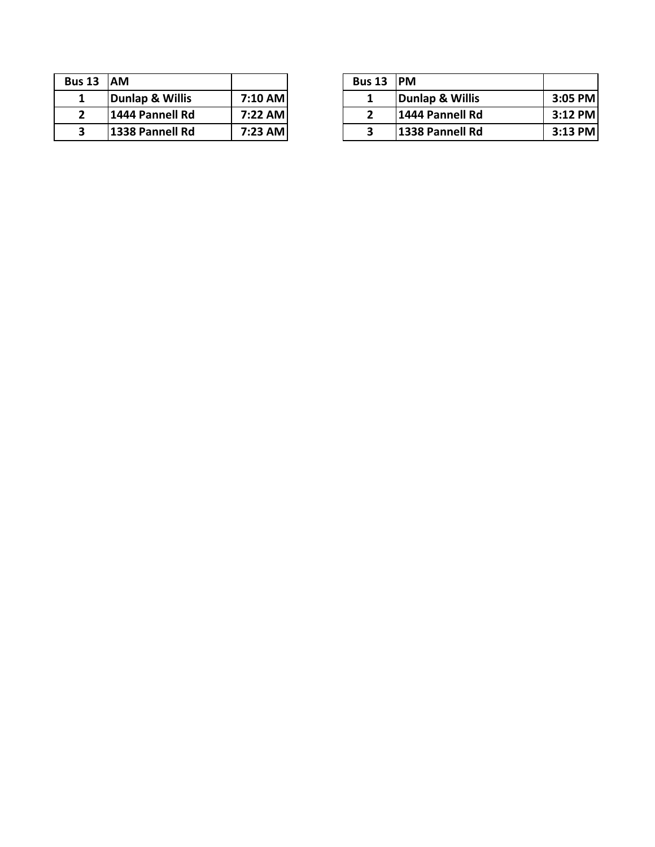| <b>Bus 13</b> | <b>IAM</b>      |         | <b>Bus 13</b> | <b>PM</b> |
|---------------|-----------------|---------|---------------|-----------|
|               | Dunlap & Willis | 7:10 AM |               | Dui       |
|               | 1444 Pannell Rd | 7:22 AM |               | 144       |
|               | 1338 Pannell Rd | 7:23 AM |               | 133       |
|               |                 |         |               |           |

| s 13 | <b>AM</b>       |         | Bus 13 PM |                  |           |
|------|-----------------|---------|-----------|------------------|-----------|
| л.   | Dunlap & Willis | 7:10 AM |           | Dunlap & Willis  | $3:05$ PM |
| ∠    | 1444 Pannell Rd | 7:22 AM |           | 11444 Pannell Rd | $3:12$ PM |
|      | 1338 Pannell Rd | 7:23 AM |           | 1338 Pannell Rd  | $3:13$ PM |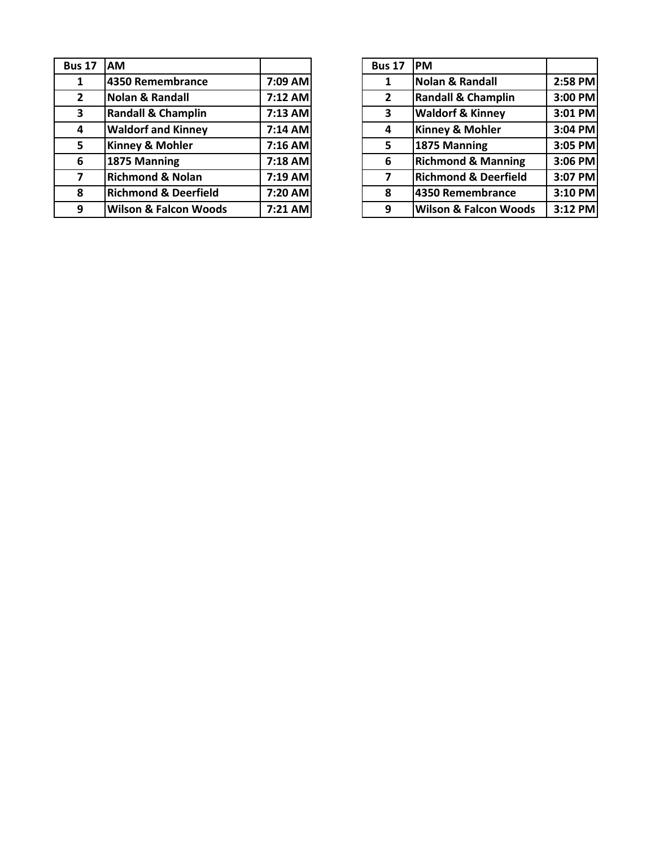| <b>Bus 17</b> | <b>AM</b>                        |           | <b>Bus 17</b> | <b>IPM</b>                       |         |
|---------------|----------------------------------|-----------|---------------|----------------------------------|---------|
|               | 4350 Remembrance                 | 7:09 AM   |               | <b>Nolan &amp; Randall</b>       | 2:58 PM |
| $2^{\circ}$   | <b>Nolan &amp; Randall</b>       | 7:12 AM   | 2             | <b>Randall &amp; Champlin</b>    | 3:00 PM |
| 3             | <b>Randall &amp; Champlin</b>    | 7:13 AM   | 3             | <b>Waldorf &amp; Kinney</b>      | 3:01 PM |
| 4             | <b>Waldorf and Kinney</b>        | 7:14 AM   | 4             | <b>Kinney &amp; Mohler</b>       | 3:04 PM |
| 5             | <b>Kinney &amp; Mohler</b>       | 7:16 AM   | 5             | 1875 Manning                     | 3:05 PM |
| 6             | 1875 Manning                     | 7:18 AM   | 6             | <b>Richmond &amp; Manning</b>    | 3:06 PM |
|               | <b>Richmond &amp; Nolan</b>      | $7:19$ AM |               | <b>Richmond &amp; Deerfield</b>  | 3:07 PM |
| 8             | <b>Richmond &amp; Deerfield</b>  | 7:20 AM   | 8             | 4350 Remembrance                 | 3:10 PM |
| 9             | <b>Wilson &amp; Falcon Woods</b> | 7:21 AM   | 9             | <b>Wilson &amp; Falcon Woods</b> | 3:12 PM |

| <b>Bus 17</b>  | <b>PM</b>                        |         |
|----------------|----------------------------------|---------|
| 1              | <b>Nolan &amp; Randall</b>       | 2:58 PM |
| $\overline{2}$ | <b>Randall &amp; Champlin</b>    | 3:00 PM |
| 3              | <b>Waldorf &amp; Kinney</b>      | 3:01 PM |
| 4              | Kinney & Mohler                  | 3:04 PM |
| 5              | 1875 Manning                     | 3:05 PM |
| 6              | <b>Richmond &amp; Manning</b>    | 3:06 PM |
| 7              | <b>Richmond &amp; Deerfield</b>  | 3:07 PM |
| 8              | 4350 Remembrance                 | 3:10 PM |
| 9              | <b>Wilson &amp; Falcon Woods</b> | 3:12 PM |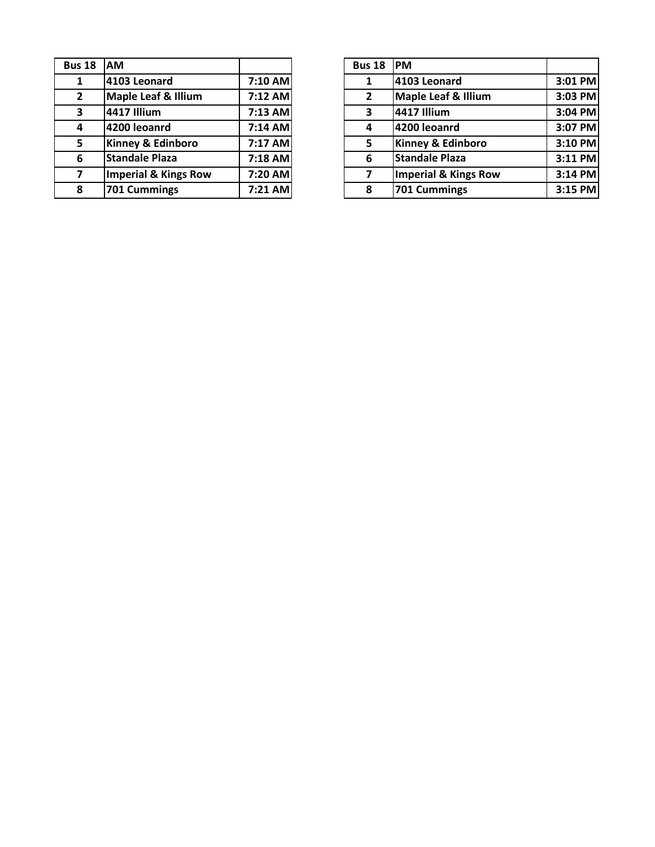| <b>Bus 18</b>  | <b>AM</b>                       |           | <b>Bus 18</b>  | <b>PM</b>  |
|----------------|---------------------------------|-----------|----------------|------------|
| 1              | 4103 Leonard                    | 7:10 AM   | 1              | 410        |
| $\mathbf{2}$   | <b>Maple Leaf &amp; Illium</b>  | 7:12 AM   | $\overline{2}$ | Ma         |
| 3              | <b>4417 Illium</b>              | $7:13$ AM | 3              | 441        |
| 4              | 4200 leoanrd                    | $7:14$ AM | 4              | 420        |
| 5.             | Kinney & Edinboro               | 7:17 AM   | 5              | Kin        |
| 6              | <b>Standale Plaza</b>           | 7:18 AM   | 6              | <b>Sta</b> |
| $\overline{7}$ | <b>Imperial &amp; Kings Row</b> | 7:20 AM   | 7              | Imp        |
| 8              | 701 Cummings                    | 7:21 AM   | 8              | 701        |
|                |                                 |           |                |            |

| s 18                    | <b>IAM</b>            |           | <b>Bus 18</b>  | <b>IPM</b>                     |         |
|-------------------------|-----------------------|-----------|----------------|--------------------------------|---------|
| $\mathbf{1}$            | 4103 Leonard          | 7:10 AM   |                | 4103 Leonard                   | 3:01 PM |
| $\overline{2}$          | Maple Leaf & Illium   | 7:12 AM   | $\overline{2}$ | <b>Maple Leaf &amp; Illium</b> | 3:03 PM |
| $\overline{\mathbf{3}}$ | 4417 Illium           | $7:13$ AM | 3              | 4417 Illium                    | 3:04 PM |
| 4                       | 4200 leoanrd          | $7:14$ AM | 4              | 4200 leoanrd                   | 3:07 PM |
| 5                       | Kinney & Edinboro     | 7:17 AM   | 5              | <b>Kinney &amp; Edinboro</b>   | 3:10 PM |
| 6                       | <b>Standale Plaza</b> | 7:18 AM   | 6              | <b>Standale Plaza</b>          | 3:11 PM |
| $\overline{7}$          | Imperial & Kings Row  | 7:20 AM   |                | Imperial & Kings Row           | 3:14 PM |
| 8                       | 701 Cummings          | $7:21$ AM | 8              | 701 Cummings                   | 3:15 PM |
|                         |                       |           |                |                                |         |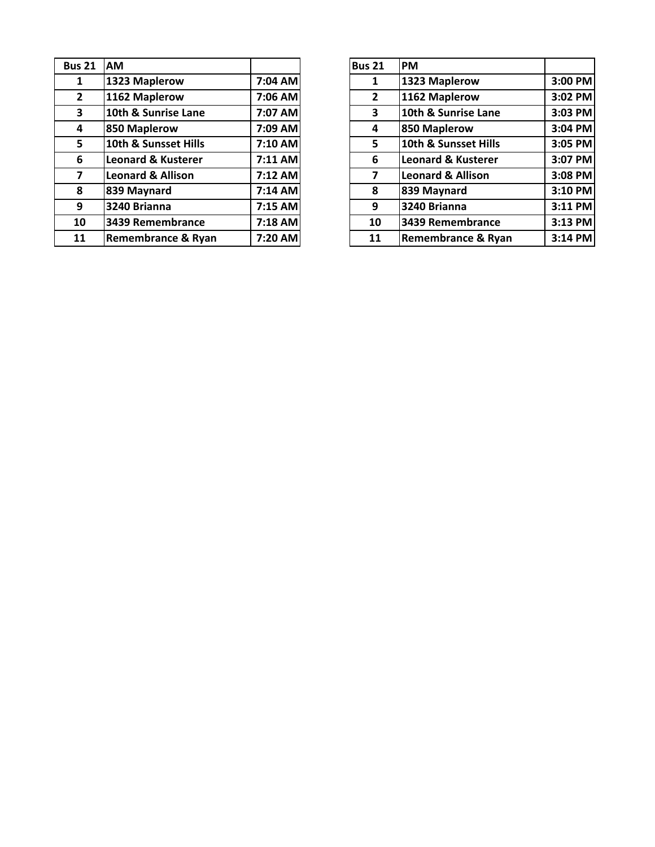| <b>Bus 21</b>  | <b>AM</b>                     |           | <b>Bus 21</b> | <b>PM</b>       |
|----------------|-------------------------------|-----------|---------------|-----------------|
| 1              | 1323 Maplerow                 | 7:04 AM   | 1             | 132             |
| $\overline{2}$ | 1162 Maplerow                 | 7:06 AM   | $\mathbf{2}$  | 116             |
| 3              | 10th & Sunrise Lane           | 7:07 AM   | 3             | 10 <sub>t</sub> |
| 4              | 850 Maplerow                  | 7:09 AM   | 4             | 850             |
| 5              | 10th & Sunsset Hills          | 7:10 AM   | 5             | 10 <sub>t</sub> |
| 6              | <b>Leonard &amp; Kusterer</b> | 7:11 AM   | 6             | Leo             |
| 7              | <b>Leonard &amp; Allison</b>  | 7:12 AM   | 7             | Leo             |
| 8              | 839 Maynard                   | 7:14 AM   | 8             | <b>839</b>      |
| 9              | 3240 Brianna                  | $7:15$ AM | 9             | 324             |
| 10             | 3439 Remembrance              | 7:18 AM   | 10            | 343             |
| 11             | <b>Remembrance &amp; Ryan</b> | 7:20 AM   | 11            | Rer             |

| <b>us 21</b>            | <b>AM</b>                     |           | Bus 21       | <b>PM</b>                     |         |
|-------------------------|-------------------------------|-----------|--------------|-------------------------------|---------|
| $\mathbf{1}$            | 1323 Maplerow                 | 7:04 AM   | 1            | 1323 Maplerow                 | 3:00 PM |
| $\overline{2}$          | 1162 Maplerow                 | 7:06 AM   | $\mathbf{2}$ | 1162 Maplerow                 | 3:02 PM |
| $\overline{\mathbf{3}}$ | 10th & Sunrise Lane           | 7:07 AM   | 3            | 10th & Sunrise Lane           | 3:03 PM |
| 4                       | 850 Maplerow                  | 7:09 AM   | 4            | 850 Maplerow                  | 3:04 PM |
| 5 <sup>1</sup>          | 10th & Sunsset Hills          | $7:10$ AM | 5            | 10th & Sunsset Hills          | 3:05 PM |
| 6                       | <b>Leonard &amp; Kusterer</b> | 7:11 AM   | 6            | <b>Leonard &amp; Kusterer</b> | 3:07 PM |
| $\overline{7}$          | <b>Leonard &amp; Allison</b>  | $7:12$ AM | 7            | <b>Leonard &amp; Allison</b>  | 3:08 PM |
| 8                       | 839 Maynard                   | $7:14$ AM | 8            | 839 Maynard                   | 3:10 PM |
| 9                       | 3240 Brianna                  | $7:15$ AM | 9            | 3240 Brianna                  | 3:11 PM |
| 10                      | 3439 Remembrance              | $7:18$ AM | 10           | 3439 Remembrance              | 3:13 PM |
| 11                      | <b>Remembrance &amp; Ryan</b> | 7:20 AM   | 11           | <b>Remembrance &amp; Ryan</b> | 3:14 PM |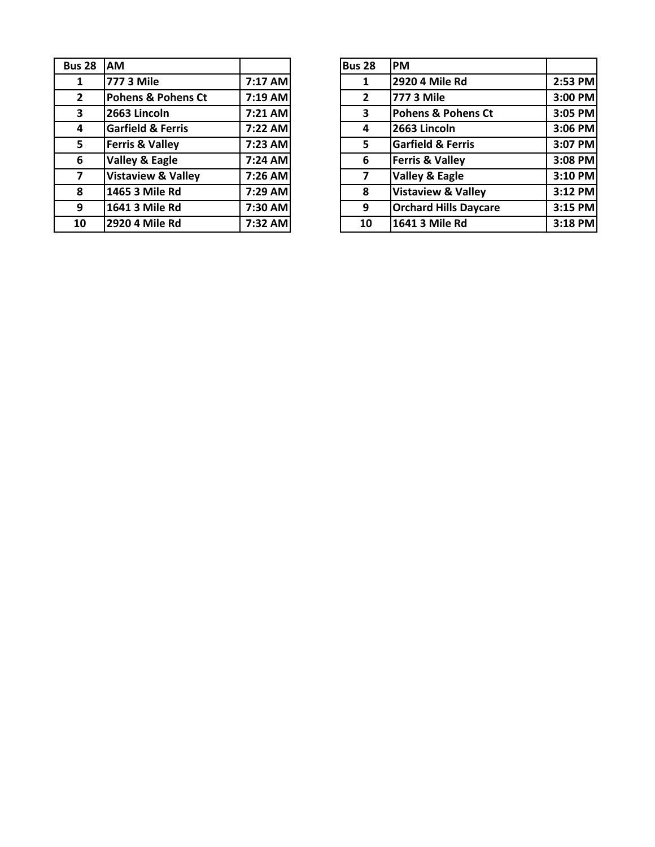| <b>Bus 28</b>  | AM                            |         | <b>Bus 28</b> | <b>PM</b>  |
|----------------|-------------------------------|---------|---------------|------------|
| 1              | 777 3 Mile                    | 7:17 AM | 1             | 292        |
| $\mathbf{2}$   | <b>Pohens &amp; Pohens Ct</b> | 7:19 AM | $\mathbf{2}$  | 777        |
| 3              | 2663 Lincoln                  | 7:21 AM | 3             | Pol        |
| 4              | <b>Garfield &amp; Ferris</b>  | 7:22 AM | 4             | 266        |
| 5              | <b>Ferris &amp; Valley</b>    | 7:23 AM | 5             | Gar        |
| 6              | Valley & Eagle                | 7:24 AM | 6             | Fer        |
| $\overline{7}$ | <b>Vistaview &amp; Valley</b> | 7:26 AM | 7             | Val        |
| 8              | 1465 3 Mile Rd                | 7:29 AM | 8             | <b>Vis</b> |
| 9              | 1641 3 Mile Rd                | 7:30 AM | 9             | Orc        |
| 10             | 2920 4 Mile Rd                | 7:32 AM | 10            | 164        |

| <b>us 28</b>            | <b>AM</b>                     |           | <b>Bus 28</b>  | <b>PM</b>                     |         |
|-------------------------|-------------------------------|-----------|----------------|-------------------------------|---------|
| $\mathbf{1}$            | 777 3 Mile                    | 7:17 AM   |                | 2920 4 Mile Rd                | 2:53 PM |
| $2^{\circ}$             | <b>Pohens &amp; Pohens Ct</b> | $7:19$ AM | $\overline{2}$ | 777 3 Mile                    | 3:00 PM |
| $\overline{\mathbf{3}}$ | 2663 Lincoln                  | 7:21 AM   | 3              | Pohens & Pohens Ct            | 3:05 PM |
| $\overline{\mathbf{4}}$ | <b>Garfield &amp; Ferris</b>  | 7:22 AM   | 4              | 2663 Lincoln                  | 3:06 PM |
| 5 <sup>1</sup>          | <b>Ferris &amp; Valley</b>    | 7:23 AM   | 5              | <b>Garfield &amp; Ferris</b>  | 3:07 PM |
| $6\phantom{1}$          | Valley & Eagle                | 7:24 AM   | 6              | <b>Ferris &amp; Valley</b>    | 3:08 PM |
| $\overline{\mathbf{z}}$ | <b>Vistaview &amp; Valley</b> | 7:26 AM   | 7              | <b>Valley &amp; Eagle</b>     | 3:10 PM |
| 8                       | 1465 3 Mile Rd                | 7:29 AM   | 8              | <b>Vistaview &amp; Valley</b> | 3:12 PM |
| $\overline{9}$          | 1641 3 Mile Rd                | 7:30 AM   | 9              | <b>Orchard Hills Daycare</b>  | 3:15 PM |
| 10                      | 2920 4 Mile Rd                | 7:32 AM   | 10             | 1641 3 Mile Rd                | 3:18 PM |
|                         |                               |           |                |                               |         |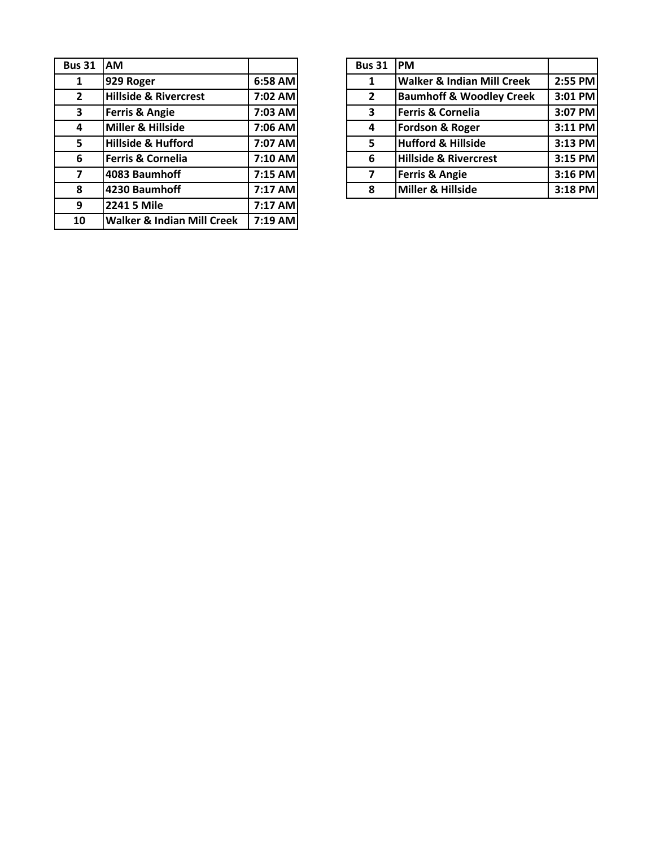| <b>Bus 31</b>           | AM                                    |         | <b>Bus 31</b>  | <b>PM</b> |
|-------------------------|---------------------------------------|---------|----------------|-----------|
| 1                       | 929 Roger                             | 6:58 AM | 1              | Wa        |
| $2^{\circ}$             | <b>Hillside &amp; Rivercrest</b>      | 7:02 AM | $\overline{2}$ | Bau       |
| 3                       | Ferris & Angie                        | 7:03 AM | 3              | Fer       |
| 4                       | Miller & Hillside                     | 7:06 AM | 4              | For       |
| 5                       | <b>Hillside &amp; Hufford</b>         | 7:07 AM | 5              | Hut       |
| 6                       | <b>Ferris &amp; Cornelia</b>          | 7:10 AM | 6              | Hill      |
| $\overline{\mathbf{z}}$ | 4083 Baumhoff                         | 7:15 AM | 7              | Fer       |
| 8                       | 4230 Baumhoff                         | 7:17 AM | 8              | Mil       |
| 9                       | 2241 5 Mile                           | 7:17 AM |                |           |
| 10                      | <b>Walker &amp; Indian Mill Creek</b> | 7:19 AM |                |           |

| s 31         | <b>JAM</b>                       |           | <b>Bus 31</b>  | <b>IPM</b>                            |         |
|--------------|----------------------------------|-----------|----------------|---------------------------------------|---------|
| $\mathbf 1$  | 929 Roger                        | 6:58 AM   |                | <b>Walker &amp; Indian Mill Creek</b> | 2:55 PM |
| $\mathbf{z}$ | <b>Hillside &amp; Rivercrest</b> | 7:02 AM   | $\overline{2}$ | <b>Baumhoff &amp; Woodley Creek</b>   | 3:01 PM |
| 3            | <b>Ferris &amp; Angie</b>        | 7:03 AM   | 3              | Ferris & Cornelia                     | 3:07 PM |
| 4            | Miller & Hillside                | 7:06 AM   | 4              | <b>Fordson &amp; Roger</b>            | 3:11 PM |
| 5            | Hillside & Hufford               | 7:07 AM   | 5              | <b>Hufford &amp; Hillside</b>         | 3:13 PM |
| 6            | Ferris & Cornelia                | 7:10 AM   | 6              | <b>Hillside &amp; Rivercrest</b>      | 3:15 PM |
| 7            | 4083 Baumhoff                    | $7:15$ AM | 7              | <b>Ferris &amp; Angie</b>             | 3:16 PM |
| 8            | 4230 Baumhoff                    | 7:17 AM   | 8              | Miller & Hillside                     | 3:18 PM |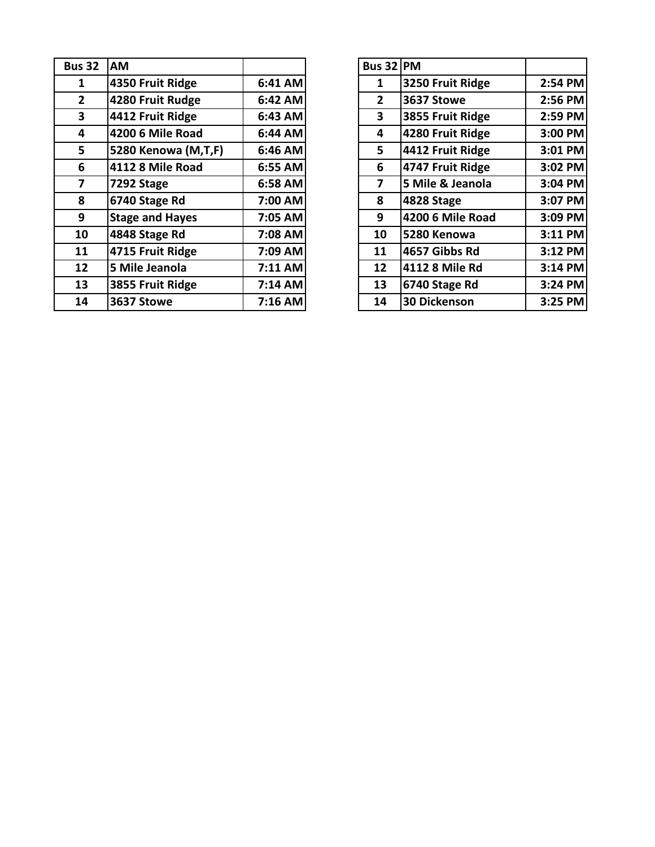| <b>Bus 32</b>           | <b>AM</b>              |           | <b>Bus 32 PM</b> |                     |         |
|-------------------------|------------------------|-----------|------------------|---------------------|---------|
|                         | 4350 Fruit Ridge       | 6:41 AM   | 1                | 3250 Fruit Ridge    | 2:54 PM |
| $\mathbf{2}$            | 4280 Fruit Rudge       | 6:42 AM   | $\mathbf{2}$     | 3637 Stowe          | 2:56 PM |
| $\overline{\mathbf{3}}$ | 4412 Fruit Ridge       | $6:43$ AM | $\mathbf{3}$     | 3855 Fruit Ridge    | 2:59 PM |
| 4                       | 4200 6 Mile Road       | 6:44 AM   | 4                | 4280 Fruit Ridge    | 3:00 PM |
| 5                       | 5280 Kenowa (M,T,F)    | $6:46$ AM | 5                | 4412 Fruit Ridge    | 3:01 PM |
| 6                       | 4112 8 Mile Road       | 6:55 AM   | 6                | 4747 Fruit Ridge    | 3:02 PM |
| 7                       | 7292 Stage             | 6:58 AM   | 7                | 5 Mile & Jeanola    | 3:04 PM |
| 8                       | 6740 Stage Rd          | 7:00 AM   | 8                | 4828 Stage          | 3:07 PM |
| 9                       | <b>Stage and Hayes</b> | 7:05 AM   | 9                | 4200 6 Mile Road    | 3:09 PM |
| 10                      | 4848 Stage Rd          | 7:08 AM   | 10               | 5280 Kenowa         | 3:11 PM |
| 11                      | 4715 Fruit Ridge       | 7:09 AM   | 11               | 4657 Gibbs Rd       | 3:12 PM |
| 12                      | 5 Mile Jeanola         | $7:11$ AM | 12               | 4112 8 Mile Rd      | 3:14 PM |
| 13                      | 3855 Fruit Ridge       | $7:14$ AM | 13               | 6740 Stage Rd       | 3:24 PM |
| 14                      | 3637 Stowe             | $7:16$ AM | 14               | <b>30 Dickenson</b> | 3:25 PM |
|                         |                        |           |                  |                     |         |

| s 32                    | <b>AM</b>              |         | Bus 32 PM       |                     |         |
|-------------------------|------------------------|---------|-----------------|---------------------|---------|
| $\mathbf 1$             | 4350 Fruit Ridge       | 6:41 AM | 1               | 3250 Fruit Ridge    | 2:54 PM |
| $\overline{\mathbf{2}}$ | 4280 Fruit Rudge       | 6:42 AM | $\mathbf{2}$    | 3637 Stowe          | 2:56 PM |
| $\overline{\mathbf{3}}$ | 4412 Fruit Ridge       | 6:43 AM | 3               | 3855 Fruit Ridge    | 2:59 PM |
| 4                       | 4200 6 Mile Road       | 6:44 AM | 4               | 4280 Fruit Ridge    | 3:00 PM |
| 5                       | 5280 Kenowa (M,T,F)    | 6:46 AM | 5               | 4412 Fruit Ridge    | 3:01 PM |
| 6                       | 4112 8 Mile Road       | 6:55 AM | 6               | 4747 Fruit Ridge    | 3:02 PM |
| $\overline{\mathbf{z}}$ | 7292 Stage             | 6:58 AM | 7               | 5 Mile & Jeanola    | 3:04 PM |
| 8                       | 6740 Stage Rd          | 7:00 AM | 8               | 4828 Stage          | 3:07 PM |
| 9                       | <b>Stage and Hayes</b> | 7:05 AM | 9               | 4200 6 Mile Road    | 3:09 PM |
| LO                      | 4848 Stage Rd          | 7:08 AM | 10              | 5280 Kenowa         | 3:11 PM |
| $\overline{\mathbf{1}}$ | 4715 Fruit Ridge       | 7:09 AM | 11              | 4657 Gibbs Rd       | 3:12 PM |
| $\overline{2}$          | 5 Mile Jeanola         | 7:11 AM | 12 <sup>2</sup> | 4112 8 Mile Rd      | 3:14 PM |
| L3                      | 3855 Fruit Ridge       | 7:14 AM | 13              | 6740 Stage Rd       | 3:24 PM |
| $\overline{4}$          | 3637 Stowe             | 7:16 AM | 14              | <b>30 Dickenson</b> | 3:25 PM |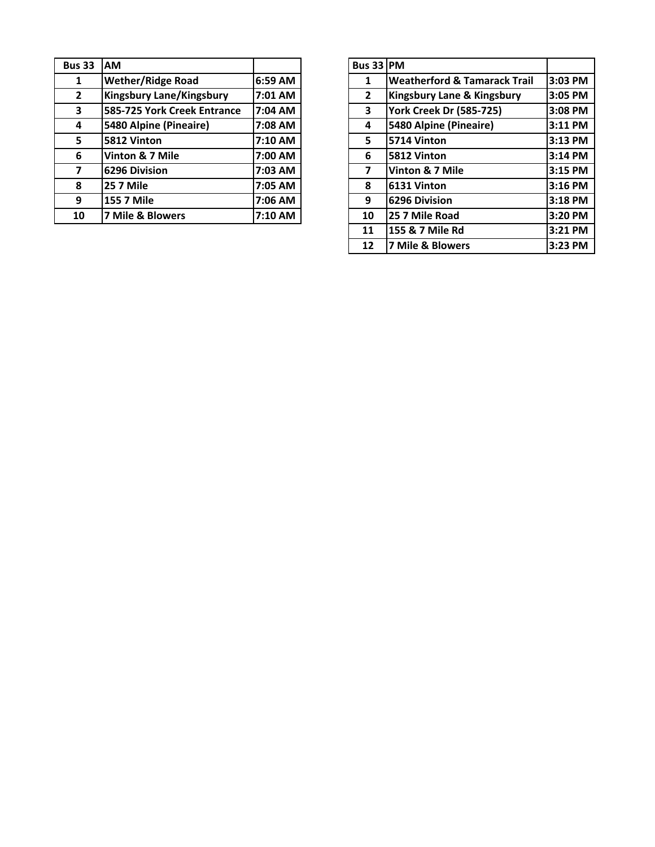| <b>Bus 33</b> | <b>AM</b>                       |         | <b>Bus 33</b>  | <b>PM</b>       |
|---------------|---------------------------------|---------|----------------|-----------------|
| 1             | <b>Wether/Ridge Road</b>        | 6:59 AM | 1              | We              |
| $\mathbf{2}$  | <b>Kingsbury Lane/Kingsbury</b> | 7:01 AM | $\overline{2}$ | Kin             |
| 3             | 585-725 York Creek Entrance     | 7:04 AM | 3              | Yor             |
| 4             | 5480 Alpine (Pineaire)          | 7:08 AM | 4              | 548             |
| 5             | 5812 Vinton                     | 7:10 AM | 5              | 571             |
| 6             | Vinton & 7 Mile                 | 7:00 AM | 6              | 581             |
| 7             | 6296 Division                   | 7:03 AM |                | Vin             |
| 8             | <b>25 7 Mile</b>                | 7:05 AM | 8              | 613             |
| 9             | 155 7 Mile                      | 7:06 AM | 9              | 629             |
| 10            | 7 Mile & Blowers                | 7:10 AM | 10             | 25 <sup>2</sup> |

| <b>us 33</b>            | <b>IAM</b>                      |         | Bus 33 PM    |                                         |         |
|-------------------------|---------------------------------|---------|--------------|-----------------------------------------|---------|
| $\mathbf{1}$            | <b>Wether/Ridge Road</b>        | 6:59 AM | 1            | <b>Weatherford &amp; Tamarack Trail</b> | 3:03 PM |
| $2^{\circ}$             | <b>Kingsbury Lane/Kingsbury</b> | 7:01 AM | $\mathbf{2}$ | <b>Kingsbury Lane &amp; Kingsbury</b>   | 3:05 PM |
| 3                       | 585-725 York Creek Entrance     | 7:04 AM | 3            | <b>York Creek Dr (585-725)</b>          | 3:08 PM |
| 4                       | 5480 Alpine (Pineaire)          | 7:08 AM | 4            | 5480 Alpine (Pineaire)                  | 3:11 PM |
| 5                       | 5812 Vinton                     | 7:10 AM | 5            | 5714 Vinton                             | 3:13 PM |
| 6                       | Vinton & 7 Mile                 | 7:00 AM | 6            | 5812 Vinton                             | 3:14 PM |
| $\overline{\mathbf{z}}$ | 6296 Division                   | 7:03 AM | 7            | Vinton & 7 Mile                         | 3:15 PM |
| 8                       | <b>25 7 Mile</b>                | 7:05 AM | 8            | 6131 Vinton                             | 3:16 PM |
| 9                       | <b>155 7 Mile</b>               | 7:06 AM | 9            | 6296 Division                           | 3:18 PM |
| 10                      | 7 Mile & Blowers                | 7:10 AM | 10           | 25 7 Mile Road                          | 3:20 PM |
|                         |                                 |         | 11           | 155 & 7 Mile Rd                         | 3:21 PM |
|                         |                                 |         | 12           | 7 Mile & Blowers                        | 3:23 PM |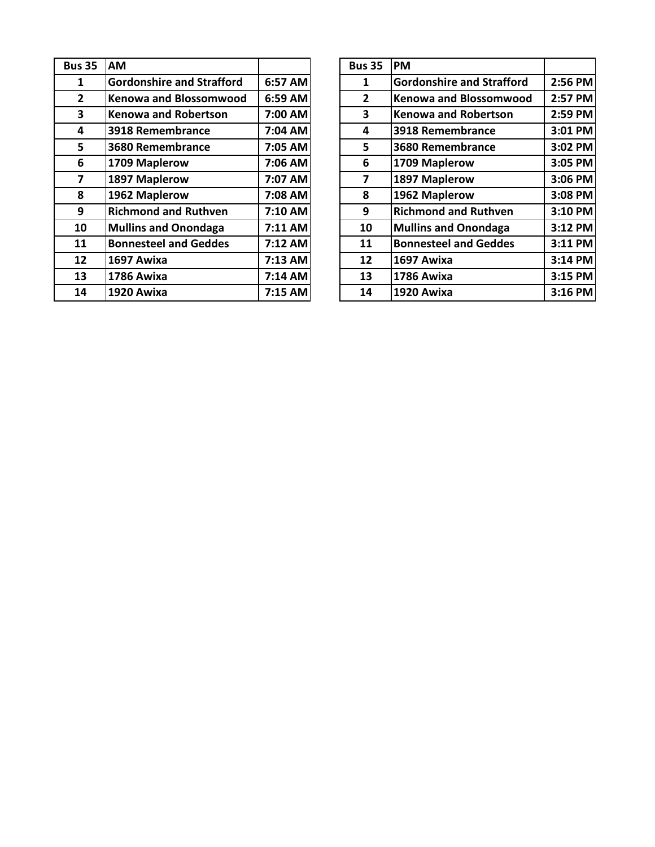| <b>Bus 35</b>           | <b>AM</b>                        |         | <b>Bus 35</b>  | <b>PM</b>       |
|-------------------------|----------------------------------|---------|----------------|-----------------|
| $\mathbf{1}$            | <b>Gordonshire and Strafford</b> | 6:57 AM | 1              | Gol             |
| $\mathbf{2}$            | <b>Kenowa and Blossomwood</b>    | 6:59 AM | $\overline{2}$ | Ker             |
| 3                       | <b>Kenowa and Robertson</b>      | 7:00 AM | 3              | Ker             |
| 4                       | 3918 Remembrance                 | 7:04 AM | 4              | 391             |
| 5                       | 3680 Remembrance                 | 7:05 AM | 5              | 368             |
| 6                       | 1709 Maplerow                    | 7:06 AM | 6              | 17 <sub>0</sub> |
| $\overline{\mathbf{z}}$ | 1897 Maplerow                    | 7:07 AM | $\overline{7}$ | 189             |
| 8                       | 1962 Maplerow                    | 7:08 AM | 8              | 196             |
| 9                       | <b>Richmond and Ruthven</b>      | 7:10 AM | 9              | <b>Ric</b>      |
| 10                      | <b>Mullins and Onondaga</b>      | 7:11 AM | 10             | Mu              |
| 11                      | <b>Bonnesteel and Geddes</b>     | 7:12 AM | 11             | Bor             |
| 12                      | 1697 Awixa                       | 7:13 AM | 12             | <b>169</b>      |
| 13                      | 1786 Awixa                       | 7:14 AM | 13             | 178             |
| 14                      | 1920 Awixa                       | 7:15 AM | 14             | 192             |
|                         |                                  |         |                |                 |

| <b>us 35</b>            | <b>AM</b>                        |         | <b>Bus 35</b>           | <b>PM</b>                        |         |
|-------------------------|----------------------------------|---------|-------------------------|----------------------------------|---------|
|                         |                                  |         |                         |                                  |         |
| $\mathbf{1}$            | <b>Gordonshire and Strafford</b> | 6:57 AM | 1                       | <b>Gordonshire and Strafford</b> | 2:56 PM |
| $\overline{2}$          | <b>Kenowa and Blossomwood</b>    | 6:59 AM | $\overline{2}$          | <b>Kenowa and Blossomwood</b>    | 2:57 PM |
| $\overline{\mathbf{3}}$ | <b>Kenowa and Robertson</b>      | 7:00 AM | 3                       | <b>Kenowa and Robertson</b>      | 2:59 PM |
| 4                       | 3918 Remembrance                 | 7:04 AM | 4                       | 3918 Remembrance                 | 3:01 PM |
| $5\phantom{.0}$         | 3680 Remembrance                 | 7:05 AM | 5                       | 3680 Remembrance                 | 3:02 PM |
| $6\phantom{1}$          | 1709 Maplerow                    | 7:06 AM | 6                       | 1709 Maplerow                    | 3:05 PM |
| $\overline{\mathbf{z}}$ | 1897 Maplerow                    | 7:07 AM | $\overline{\mathbf{z}}$ | 1897 Maplerow                    | 3:06 PM |
| 8                       | 1962 Maplerow                    | 7:08 AM | 8                       | 1962 Maplerow                    | 3:08 PM |
| 9                       | <b>Richmond and Ruthven</b>      | 7:10 AM | 9                       | <b>Richmond and Ruthven</b>      | 3:10 PM |
| 10                      | <b>Mullins and Onondaga</b>      | 7:11 AM | 10                      | <b>Mullins and Onondaga</b>      | 3:12 PM |
| 11                      | <b>Bonnesteel and Geddes</b>     | 7:12 AM | 11                      | <b>Bonnesteel and Geddes</b>     | 3:11 PM |
| 12                      | 1697 Awixa                       | 7:13 AM | 12                      | 1697 Awixa                       | 3:14 PM |
| 13                      | 1786 Awixa                       | 7:14 AM | 13                      | 1786 Awixa                       | 3:15 PM |
| 14                      | <b>1920 Awixa</b>                | 7:15 AM | 14                      | <b>1920 Awixa</b>                | 3:16 PM |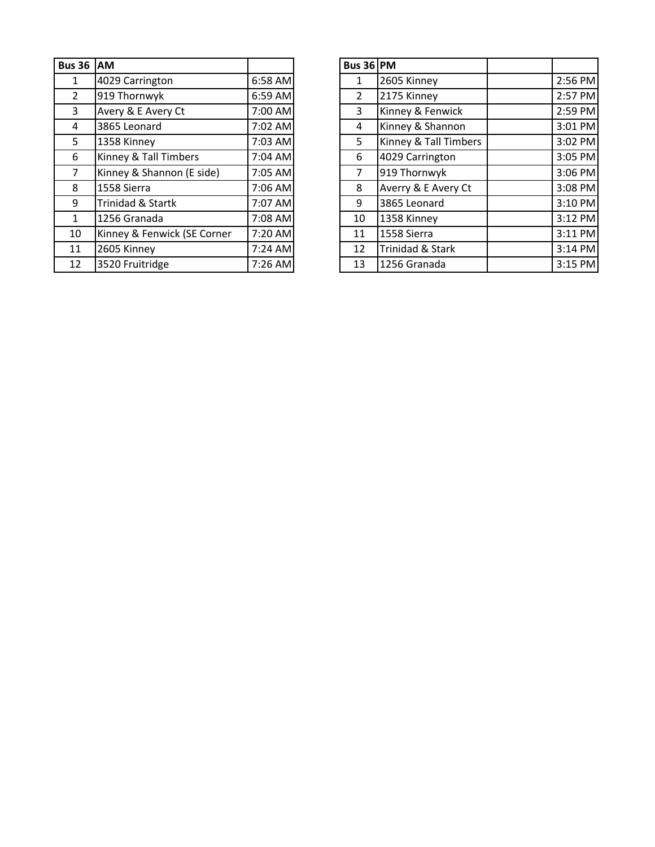| <b>Bus 36</b>  | <b>AM</b>                   |         | Bus 36 PM |      |
|----------------|-----------------------------|---------|-----------|------|
| 1              | 4029 Carrington             | 6:58 AM | 1         | 260  |
| $\overline{2}$ | 919 Thornwyk                | 6:59 AM | 2         | 217  |
| 3              | Avery & E Avery Ct          | 7:00 AM | 3         | Kin  |
| 4              | 3865 Leonard                | 7:02 AM | 4         | Kin  |
| 5              | 1358 Kinney                 | 7:03 AM | 5         | Kin  |
| 6              | Kinney & Tall Timbers       | 7:04 AM | 6         | 402  |
| 7              | Kinney & Shannon (E side)   | 7:05 AM | 7         | 919  |
| 8              | 1558 Sierra                 | 7:06 AM | 8         | Ave  |
| 9              | Trinidad & Startk           | 7:07 AM | 9         | 386  |
| 1              | 1256 Granada                | 7:08 AM | 10        | 135  |
| 10             | Kinney & Fenwick (SE Corner | 7:20 AM | 11        | 155  |
| 11             | 2605 Kinney                 | 7:24 AM | 12        | Trir |
| 12             | 3520 Fruitridge             | 7:26 AM | 13        | 125  |

| <b>IS 36 AM</b> |                             |           | Bus $36$ PM    |                       |         |
|-----------------|-----------------------------|-----------|----------------|-----------------------|---------|
| 1               | 4029 Carrington             | $6:58$ AM | 1              | 2605 Kinney           | 2:56 PM |
| $\overline{2}$  | 919 Thornwyk                | 6:59 AM   | $\mathfrak{D}$ | 2175 Kinney           | 2:57 PM |
| $\mathbf{3}$    | Avery & E Avery Ct          | 7:00 AM   | 3              | Kinney & Fenwick      | 2:59 PM |
| 4               | 3865 Leonard                | 7:02 AM   | 4              | Kinney & Shannon      | 3:01 PM |
| 5               | 1358 Kinney                 | 7:03 AM   | 5              | Kinney & Tall Timbers | 3:02 PM |
| 6               | Kinney & Tall Timbers       | $7:04$ AM | 6              | 4029 Carrington       | 3:05 PM |
| $\overline{7}$  | Kinney & Shannon (E side)   | 7:05 AM   |                | 919 Thornwyk          | 3:06 PM |
| 8               | 1558 Sierra                 | 7:06 AM   | 8              | Averry & E Avery Ct   | 3:08 PM |
| 9               | Trinidad & Startk           | 7:07 AM   | 9              | 3865 Leonard          | 3:10 PM |
| $\mathbf{1}$    | 1256 Granada                | 7:08 AM   | 10             | 1358 Kinney           | 3:12 PM |
| 10              | Kinney & Fenwick (SE Corner | 7:20 AM   | 11             | 1558 Sierra           | 3:11 PM |
| 11              | 2605 Kinney                 | 7:24 AM   | 12             | Trinidad & Stark      | 3:14 PM |
| 12              | 3520 Fruitridge             | 7:26 AM   | 13             | 1256 Granada          | 3:15 PM |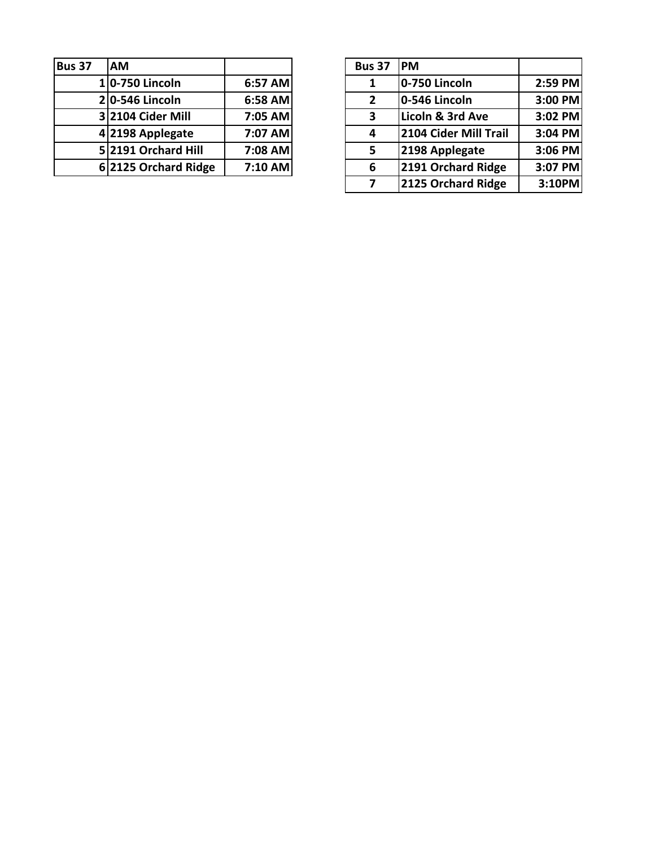| <b>Bus 37</b> | <b>AM</b>            |         | <b>Bus 37</b> | <b>IPM</b>      |
|---------------|----------------------|---------|---------------|-----------------|
|               | 10-750 Lincoln       | 6:57 AM |               | $0-7$           |
|               | $2 0-546$ Lincoln    | 6:58 AM | $\mathbf{2}$  | $0 - 5$         |
|               | 3 2104 Cider Mill    | 7:05 AM | 3             | <b>Lico</b>     |
|               | 4 2198 Applegate     | 7:07 AM |               | 210             |
|               | 5 2191 Orchard Hill  | 7:08 AM | 5             | 21 <sup>c</sup> |
|               | 6 2125 Orchard Ridge | 7:10 AM | 6             | 21 <sup>c</sup> |

| <b>AM</b>                    |         | <b>Bus 37</b>  | <b>IPM</b>            |         |
|------------------------------|---------|----------------|-----------------------|---------|
| 10-750 Lincoln               | 6:57 AM | 1              | 0-750 Lincoln         | 2:59 PM |
| 2 <sup> </sup> 0-546 Lincoln | 6:58 AM | $\overline{2}$ | 0-546 Lincoln         | 3:00 PM |
| 3 2104 Cider Mill            | 7:05 AM | 3              | Licoln & 3rd Ave      | 3:02 PM |
| 4 2198 Applegate             | 7:07 AM | 4              | 2104 Cider Mill Trail | 3:04 PM |
| 52191 Orchard Hill           | 7:08 AM | 5              | 2198 Applegate        | 3:06 PM |
| 62125 Orchard Ridge          | 7:10 AM | 6              | 2191 Orchard Ridge    | 3:07 PM |
|                              |         | 7              | 2125 Orchard Ridge    | 3:10PM  |
|                              |         |                |                       |         |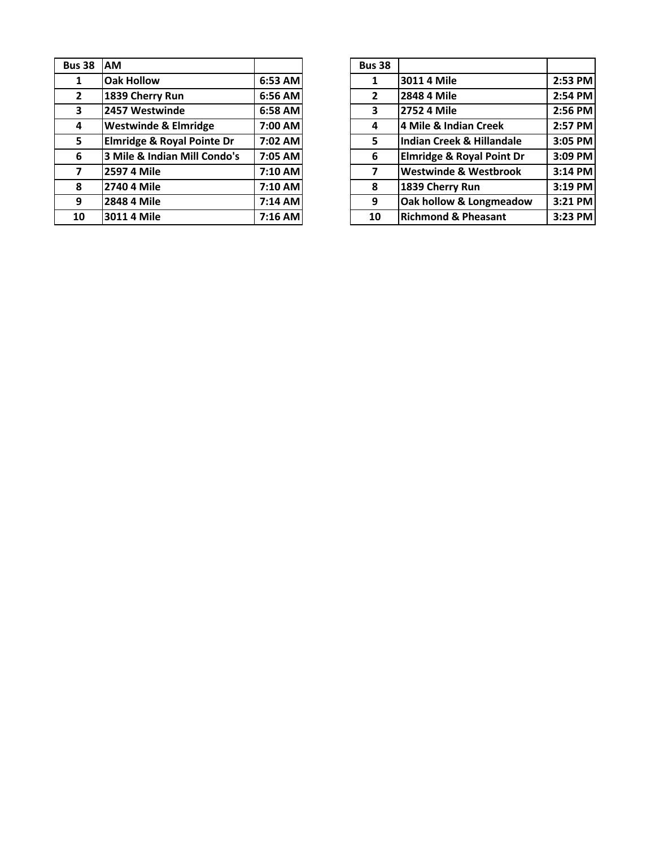| <b>Bus 38</b>  | <b>AM</b>                             |           | <b>Bus 38</b> |
|----------------|---------------------------------------|-----------|---------------|
| 1              | <b>Oak Hollow</b>                     | 6:53 AM   |               |
| $\overline{2}$ | 1839 Cherry Run                       | 6:56 AM   | $\mathbf{2}$  |
| 3              | 2457 Westwinde                        | 6:58 AM   | 3             |
| 4              | <b>Westwinde &amp; Elmridge</b>       | 7:00 AM   | 4             |
| 5.             | <b>Elmridge &amp; Royal Pointe Dr</b> | 7:02 AM   | 5.            |
| 6              | 3 Mile & Indian Mill Condo's          | 7:05 AM   | 6             |
| 7              | 2597 4 Mile                           | 7:10 AM   | 7             |
| 8              | 2740 4 Mile                           | 7:10 AM   | 8             |
| 9              | 2848 4 Mile                           | 7:14 AM   | 9             |
| 10             | 3011 4 Mile                           | $7:16$ AM | 10            |

| <b>us 38</b>            | <b>AM</b>                             |           | <b>Bus 38</b>  |                                      |         |
|-------------------------|---------------------------------------|-----------|----------------|--------------------------------------|---------|
| $\mathbf{1}$            | <b>Oak Hollow</b>                     | $6:53$ AM | 1              | 3011 4 Mile                          | 2:53 PM |
| $\overline{2}$          | 1839 Cherry Run                       | 6:56 AM   | $\overline{2}$ | 2848 4 Mile                          | 2:54 PM |
| $\overline{\mathbf{3}}$ | 2457 Westwinde                        | 6:58 AM   | 3              | 2752 4 Mile                          | 2:56 PM |
| $\overline{\mathbf{4}}$ | <b>Westwinde &amp; Elmridge</b>       | 7:00 AM   | 4              | 4 Mile & Indian Creek                | 2:57 PM |
| 5 <sup>1</sup>          | <b>Elmridge &amp; Royal Pointe Dr</b> | 7:02 AM   | 5              | Indian Creek & Hillandale            | 3:05 PM |
| 6                       | 3 Mile & Indian Mill Condo's          | 7:05 AM   | 6              | <b>Elmridge &amp; Royal Point Dr</b> | 3:09 PM |
| $\overline{7}$          | 2597 4 Mile                           | 7:10 AM   |                | <b>Westwinde &amp; Westbrook</b>     | 3:14 PM |
| 8                       | 2740 4 Mile                           | 7:10 AM   | 8              | 1839 Cherry Run                      | 3:19 PM |
| 9                       | 2848 4 Mile                           | $7:14$ AM | 9              | Oak hollow & Longmeadow              | 3:21 PM |
| 10                      | 3011 4 Mile                           | $7:16$ AM | 10             | <b>Richmond &amp; Pheasant</b>       | 3:23 PM |